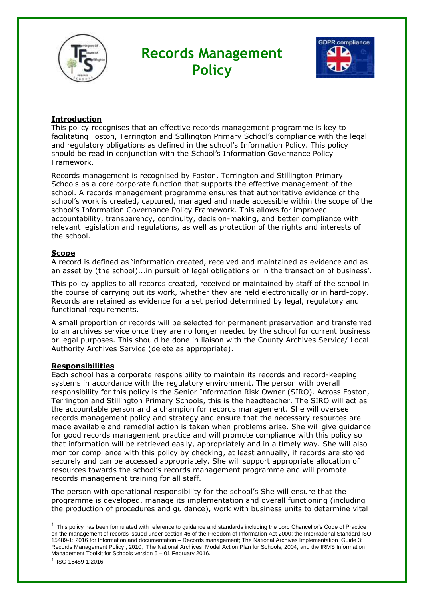

# **Records Management Policy**



## **Introduction**

This policy recognises that an effective records management programme is key to facilitating Foston, Terrington and Stillington Primary School's compliance with the legal and regulatory obligations as defined in the school's Information Policy. This policy should be read in conjunction with the School's Information Governance Policy Framework.

Records management is recognised by Foston, Terrington and Stillington Primary Schools as a core corporate function that supports the effective management of the school. A records management programme ensures that authoritative evidence of the school's work is created, captured, managed and made accessible within the scope of the school's Information Governance Policy Framework. This allows for improved accountability, transparency, continuity, decision-making, and better compliance with relevant legislation and regulations, as well as protection of the rights and interests of the school.

## **Scope**

A record is defined as 'information created, received and maintained as evidence and as an asset by (the school)...in pursuit of legal obligations or in the transaction of business'.

This policy applies to all records created, received or maintained by staff of the school in the course of carrying out its work, whether they are held electronically or in hard-copy. Records are retained as evidence for a set period determined by legal, regulatory and functional requirements.

A small proportion of records will be selected for permanent preservation and transferred to an archives service once they are no longer needed by the school for current business or legal purposes. This should be done in liaison with the County Archives Service/ Local Authority Archives Service (delete as appropriate).

### **Responsibilities**

Each school has a corporate responsibility to maintain its records and record-keeping systems in accordance with the regulatory environment. The person with overall responsibility for this policy is the Senior Information Risk Owner (SIRO). Across Foston, Terrington and Stillington Primary Schools, this is the headteacher. The SIRO will act as the accountable person and a champion for records management. She will oversee records management policy and strategy and ensure that the necessary resources are made available and remedial action is taken when problems arise. She will give guidance for good records management practice and will promote compliance with this policy so that information will be retrieved easily, appropriately and in a timely way. She will also monitor compliance with this policy by checking, at least annually, if records are stored securely and can be accessed appropriately. She will support appropriate allocation of resources towards the school's records management programme and will promote records management training for all staff.

The person with operational responsibility for the school's She will ensure that the programme is developed, manage its implementation and overall functioning (including the production of procedures and guidance), work with business units to determine vital

 $1$  This policy has been formulated with reference to guidance and standards including the Lord Chancellor's Code of Practice on the management of records issued under section 46 of the Freedom of Information Act 2000; the International Standard ISO 15489-1: 2016 for Information and documentation – Records management; The National Archives Implementation Guide 3: Records Management Policy , 2010; The National Archives Model Action Plan for Schools, 2004; and the IRMS Information Management Toolkit for Schools version 5 – 01 February 2016.

1 ISO 15489-1:2016